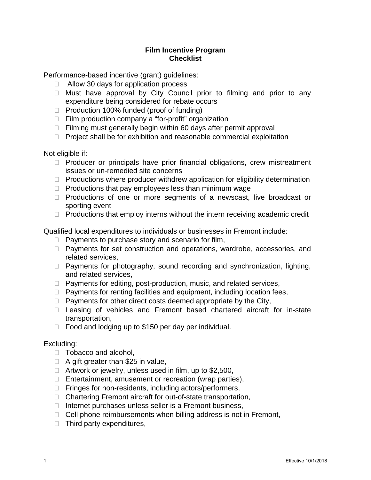## **Film Incentive Program Checklist**

Performance-based incentive (grant) guidelines:

- $\Box$  Allow 30 days for application process
- $\Box$  Must have approval by City Council prior to filming and prior to any expenditure being considered for rebate occurs
- □ Production 100% funded (proof of funding)
- $\Box$  Film production company a "for-profit" organization
- $\Box$  Filming must generally begin within 60 days after permit approval
- $\Box$  Project shall be for exhibition and reasonable commercial exploitation

Not eligible if:

- $\Box$  Producer or principals have prior financial obligations, crew mistreatment issues or un-remedied site concerns
- $\Box$  Productions where producer withdrew application for eligibility determination
- $\Box$  Productions that pay employees less than minimum wage
- $\Box$  Productions of one or more segments of a newscast, live broadcast or sporting event
- $\Box$  Productions that employ interns without the intern receiving academic credit

Qualified local expenditures to individuals or businesses in Fremont include:

- $\Box$  Payments to purchase story and scenario for film,
- □ Payments for set construction and operations, wardrobe, accessories, and related services,
- $\Box$  Payments for photography, sound recording and synchronization, lighting, and related services,
- $\Box$  Payments for editing, post-production, music, and related services,
- $\Box$  Payments for renting facilities and equipment, including location fees,
- $\Box$  Payments for other direct costs deemed appropriate by the City,
- $\Box$  Leasing of vehicles and Fremont based chartered aircraft for in-state transportation,
- $\Box$  Food and lodging up to \$150 per day per individual.

## Excluding:

- $\Box$  Tobacco and alcohol,
- $\Box$  A gift greater than \$25 in value,
- $\Box$  Artwork or jewelry, unless used in film, up to \$2,500,
- $\Box$  Entertainment, amusement or recreation (wrap parties),
- $\Box$  Fringes for non-residents, including actors/performers,
- □ Chartering Fremont aircraft for out-of-state transportation,
- $\Box$  Internet purchases unless seller is a Fremont business,
- $\Box$  Cell phone reimbursements when billing address is not in Fremont,
- $\Box$  Third party expenditures,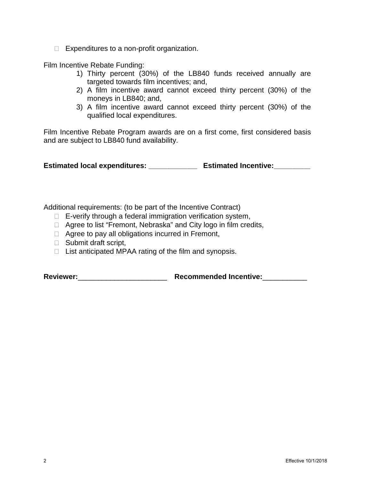$\Box$  Expenditures to a non-profit organization.

Film Incentive Rebate Funding:

- 1) Thirty percent (30%) of the LB840 funds received annually are targeted towards film incentives; and,
- 2) A film incentive award cannot exceed thirty percent (30%) of the moneys in LB840; and,
- 3) A film incentive award cannot exceed thirty percent (30%) of the qualified local expenditures.

Film Incentive Rebate Program awards are on a first come, first considered basis and are subject to LB840 fund availability.

**Estimated local expenditures: \_\_\_\_\_\_\_\_\_\_\_\_ Estimated Incentive:\_\_\_\_\_\_\_\_\_**

Additional requirements: (to be part of the Incentive Contract)

- $\Box$  E-verify through a federal immigration verification system,
- □ Agree to list "Fremont, Nebraska" and City logo in film credits,
- $\Box$  Agree to pay all obligations incurred in Fremont,
- □ Submit draft script,
- $\Box$  List anticipated MPAA rating of the film and synopsis.

**Reviewer:**\_\_\_\_\_\_\_\_\_\_\_\_\_\_\_\_\_\_\_\_\_\_ **Recommended Incentive:**\_\_\_\_\_\_\_\_\_\_\_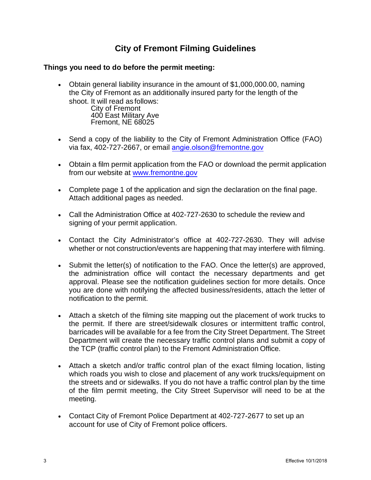## **City of Fremont Filming Guidelines**

## **Things you need to do before the permit meeting:**

• Obtain general liability insurance in the amount of \$1,000,000.00, naming the City of Fremont as an additionally insured party for the length of the shoot. It will read as follows:

City of Fremont 400 East Military Ave Fremont, NE 68025

- Send a copy of the liability to the City of Fremont Administration Office (FAO) via fax, 402-727-2667, or email angie.olson[@fremontne.gov](mailto:lottie.mitchell@fremontne.gov)
- Obtain a film permit application from the FAO or download the permit application from our website at [www.fremontne.gov](http://www.fremontne.gov/)
- Complete page 1 of the application and sign the declaration on the final page. Attach additional pages as needed.
- Call the Administration Office at 402-727-2630 to schedule the review and signing of your permit application.
- Contact the City Administrator's office at 402-727-2630. They will advise whether or not construction/events are happening that may interfere with filming.
- Submit the letter(s) of notification to the FAO. Once the letter(s) are approved, the administration office will contact the necessary departments and get approval. Please see the notification guidelines section for more details. Once you are done with notifying the affected business/residents, attach the letter of notification to the permit.
- Attach a sketch of the filming site mapping out the placement of work trucks to the permit. If there are street/sidewalk closures or intermittent traffic control, barricades will be available for a fee from the City Street Department. The Street Department will create the necessary traffic control plans and submit a copy of the TCP (traffic control plan) to the Fremont Administration Office.
- Attach a sketch and/or traffic control plan of the exact filming location, listing which roads you wish to close and placement of any work trucks/equipment on the streets and or sidewalks. If you do not have a traffic control plan by the time of the film permit meeting, the City Street Supervisor will need to be at the meeting.
- Contact City of Fremont Police Department at 402-727-2677 to set up an account for use of City of Fremont police officers.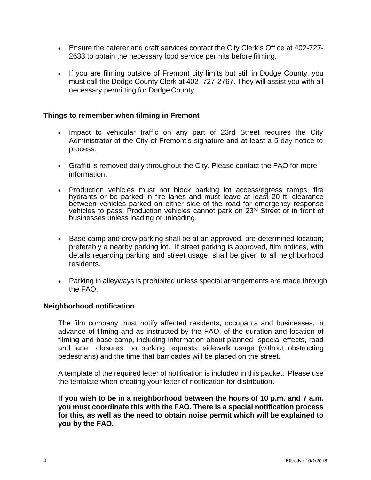- Ensure the caterer and craft services contact the City Clerk's Office at 402-727- 2633 to obtain the necessary food service permits before filming.
- If you are filming outside of Fremont city limits but still in Dodge County, you must call the Dodge County Clerk at 402- 727-2767. They will assist you with all necessary permitting for Dodge County.

### **Things to remember when filming in Fremont**

- Impact to vehicular traffic on any part of 23rd Street requires the City Administrator of the City of Fremont's signature and at least a 5 day notice to process.
- Graffiti is removed daily throughout the City. Please contact the FAO for more information.
- Production vehicles must not block parking lot access/egress ramps, fire hydrants or be parked in fire lanes and must leave at least 20 ft. clearance between vehicles parked on either side of the road for emergency response vehicles to pass. Production vehicles cannot park on 23rd Street or in front of businesses unless loading orunloading.
- Base camp and crew parking shall be at an approved, pre-determined location; preferably a nearby parking lot. If street parking is approved, film notices, with details regarding parking and street usage, shall be given to all neighborhood residents.
- Parking in alleyways is prohibited unless special arrangements are made through the FAO.

#### **Neighborhood notification**

The film company must notify affected residents, occupants and businesses, in advance of filming and as instructed by the FAO, of the duration and location of filming and base camp, including information about planned special effects, road and lane closures, no parking requests, sidewalk usage (without obstructing pedestrians) and the time that barricades will be placed on the street.

A template of the required letter of notification is included in this packet. Please use the template when creating your letter of notification for distribution.

**If you wish to be in a neighborhood between the hours of 10 p.m. and 7 a.m. you must coordinate this with the FAO. There is a special notification process for this, as well as the need to obtain noise permit which will be explained to you by the FAO.**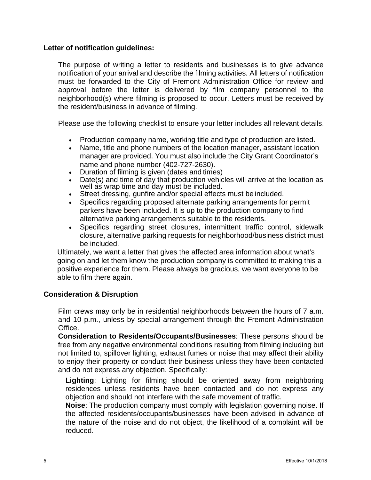#### **Letter of notification guidelines:**

The purpose of writing a letter to residents and businesses is to give advance notification of your arrival and describe the filming activities. All letters of notification must be forwarded to the City of Fremont Administration Office for review and approval before the letter is delivered by film company personnel to the neighborhood(s) where filming is proposed to occur. Letters must be received by the resident/business in advance of filming.

Please use the following checklist to ensure your letter includes all relevant details.

- Production company name, working title and type of production are listed.
- Name, title and phone numbers of the location manager, assistant location manager are provided. You must also include the City Grant Coordinator's name and phone number (402-727-2630).
- Duration of filming is given (dates and times)
- Date(s) and time of day that production vehicles will arrive at the location as well as wrap time and day must be included.
- Street dressing, gunfire and/or special effects must be included.
- Specifics regarding proposed alternate parking arrangements for permit parkers have been included. It is up to the production company to find alternative parking arrangements suitable to the residents.
- Specifics regarding street closures, intermittent traffic control, sidewalk closure, alternative parking requests for neighborhood/business district must be included.

Ultimately, we want a letter that gives the affected area information about what's going on and let them know the production company is committed to making this a positive experience for them. Please always be gracious, we want everyone to be able to film there again.

## **Consideration & Disruption**

Film crews may only be in residential neighborhoods between the hours of 7 a.m. and 10 p.m., unless by special arrangement through the Fremont Administration Office.

**Consideration to Residents/Occupants/Businesses**: These persons should be free from any negative environmental conditions resulting from filming including but not limited to, spillover lighting, exhaust fumes or noise that may affect their ability to enjoy their property or conduct their business unless they have been contacted and do not express any objection. Specifically:

**Lighting**: Lighting for filming should be oriented away from neighboring residences unless residents have been contacted and do not express any objection and should not interfere with the safe movement of traffic.

**Noise**: The production company must comply with legislation governing noise. If the affected residents/occupants/businesses have been advised in advance of the nature of the noise and do not object, the likelihood of a complaint will be reduced.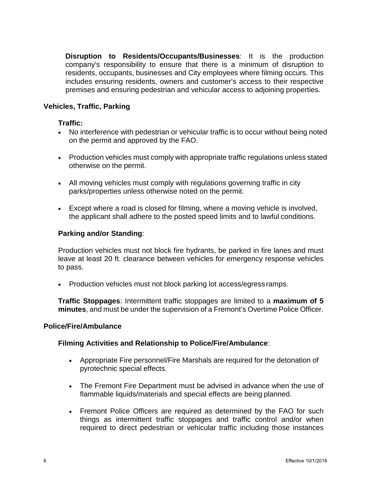**Disruption to Residents/Occupants/Businesses**: It is the production company's responsibility to ensure that there is a minimum of disruption to residents, occupants, businesses and City employees where filming occurs. This includes ensuring residents, owners and customer's access to their respective premises and ensuring pedestrian and vehicular access to adjoining properties.

### **Vehicles, Traffic, Parking**

#### **Traffic:**

- No interference with pedestrian or vehicular traffic is to occur without being noted on the permit and approved by the FAO.
- Production vehicles must comply with appropriate traffic regulations unless stated otherwise on the permit.
- All moving vehicles must comply with regulations governing traffic in city parks/properties unless otherwise noted on the permit.
- Except where a road is closed for filming, where a moving vehicle is involved, the applicant shall adhere to the posted speed limits and to lawful conditions.

#### **Parking and/or Standing**:

Production vehicles must not block fire hydrants, be parked in fire lanes and must leave at least 20 ft. clearance between vehicles for emergency response vehicles to pass.

• Production vehicles must not block parking lot access/egress ramps.

**Traffic Stoppages**: Intermittent traffic stoppages are limited to a **maximum of 5 minutes**, and must be under the supervision of a Fremont's Overtime Police Officer.

#### **Police/Fire/Ambulance**

#### **Filming Activities and Relationship to Police/Fire/Ambulance**:

- Appropriate Fire personnel/Fire Marshals are required for the detonation of pyrotechnic special effects.
- The Fremont Fire Department must be advised in advance when the use of flammable liquids/materials and special effects are being planned.
- Fremont Police Officers are required as determined by the FAO for such things as intermittent traffic stoppages and traffic control and/or when required to direct pedestrian or vehicular traffic including those instances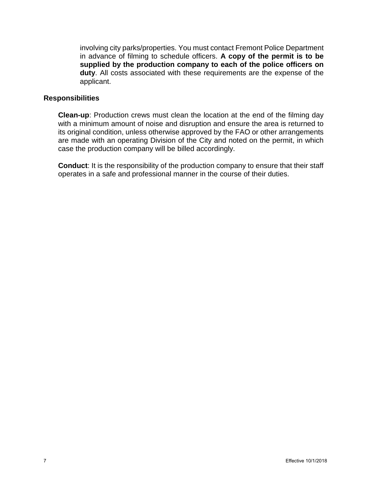involving city parks/properties. You must contact Fremont Police Department in advance of filming to schedule officers. **A copy of the permit is to be supplied by the production company to each of the police officers on duty**. All costs associated with these requirements are the expense of the applicant.

#### **Responsibilities**

**Clean-up**: Production crews must clean the location at the end of the filming day with a minimum amount of noise and disruption and ensure the area is returned to its original condition, unless otherwise approved by the FAO or other arrangements are made with an operating Division of the City and noted on the permit, in which case the production company will be billed accordingly.

**Conduct**: It is the responsibility of the production company to ensure that their staff operates in a safe and professional manner in the course of their duties.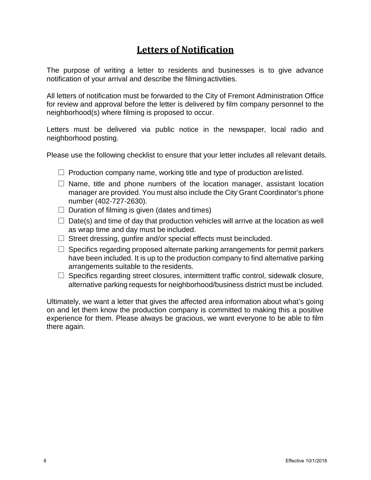# **Letters of Notification**

The purpose of writing a letter to residents and businesses is to give advance notification of your arrival and describe the filmingactivities.

All letters of notification must be forwarded to the City of Fremont Administration Office for review and approval before the letter is delivered by film company personnel to the neighborhood(s) where filming is proposed to occur.

Letters must be delivered via public notice in the newspaper, local radio and neighborhood posting.

Please use the following checklist to ensure that your letter includes all relevant details.

- $\Box$  Production company name, working title and type of production are listed.
- $\square$  Name, title and phone numbers of the location manager, assistant location manager are provided. You must also include the City Grant Coordinator's phone number (402-727-2630).
- $\Box$  Duration of filming is given (dates and times)
- $\Box$  Date(s) and time of day that production vehicles will arrive at the location as well as wrap time and day must be included.
- $\Box$  Street dressing, gunfire and/or special effects must be included.
- $\Box$  Specifics regarding proposed alternate parking arrangements for permit parkers have been included. It is up to the production company to find alternative parking arrangements suitable to the residents.
- $\Box$  Specifics regarding street closures, intermittent traffic control, sidewalk closure, alternative parking requests for neighborhood/business district must be included.

Ultimately, we want a letter that gives the affected area information about what's going on and let them know the production company is committed to making this a positive experience for them. Please always be gracious, we want everyone to be able to film there again.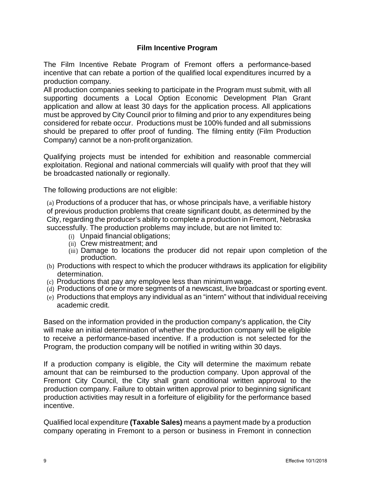## **Film Incentive Program**

The Film Incentive Rebate Program of Fremont offers a performance-based incentive that can rebate a portion of the qualified local expenditures incurred by a production company.

All production companies seeking to participate in the Program must submit, with all supporting documents a Local Option Economic Development Plan Grant application and allow at least 30 days for the application process. All applications must be approved by City Council prior to filming and prior to any expenditures being considered for rebate occur. Productions must be 100% funded and all submissions should be prepared to offer proof of funding. The filming entity (Film Production Company) cannot be a non-profit organization.

Qualifying projects must be intended for exhibition and reasonable commercial exploitation. Regional and national commercials will qualify with proof that they will be broadcasted nationally or regionally.

The following productions are not eligible:

(a) Productions of a producer that has, or whose principals have, a verifiable history of previous production problems that create significant doubt, as determined by the City, regarding the producer's ability to complete a production in Fremont, Nebraska successfully. The production problems may include, but are not limited to:

- (i) Unpaid financial obligations;
- (ii) Crew mistreatment; and
- (iii) Damage to locations the producer did not repair upon completion of the production.
- (b) Productions with respect to which the producer withdraws its application for eligibility determination.
- (c) Productions that pay any employee less than minimum wage.
- (d) Productions of one or more segments of a newscast, live broadcast or sporting event.
- (e) Productions that employs any individual as an "intern" without that individual receiving academic credit.

Based on the information provided in the production company's application, the City will make an initial determination of whether the production company will be eligible to receive a performance-based incentive. If a production is not selected for the Program, the production company will be notified in writing within 30 days.

If a production company is eligible, the City will determine the maximum rebate amount that can be reimbursed to the production company. Upon approval of the Fremont City Council, the City shall grant conditional written approval to the production company. Failure to obtain written approval prior to beginning significant production activities may result in a forfeiture of eligibility for the performance based incentive.

Qualified local expenditure **(Taxable Sales)** means a payment made by a production company operating in Fremont to a person or business in Fremont in connection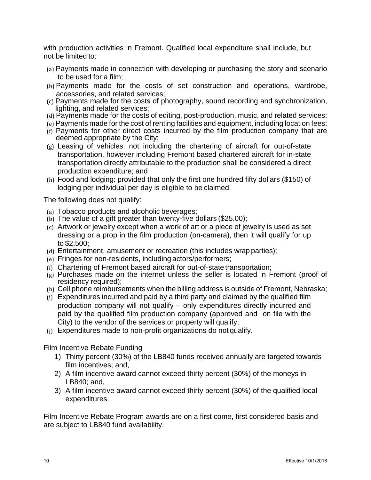with production activities in Fremont. Qualified local expenditure shall include, but not be limited to:

- (a) Payments made in connection with developing or purchasing the story and scenario to be used for a film;
- (b) Payments made for the costs of set construction and operations, wardrobe, accessories, and related services;
- (c) Payments made for the costs of photography, sound recording and synchronization, lighting, and related services;
- (d) Payments made for the costs of editing, post-production, music, and related services;
- (e) Payments made for the cost of renting facilities and equipment, including location fees;
- (f) Payments for other direct costs incurred by the film production company that are deemed appropriate by the City;
- (g) Leasing of vehicles: not including the chartering of aircraft for out-of-state transportation, however including Fremont based chartered aircraft for in-state transportation directly attributable to the production shall be considered a direct production expenditure; and
- (h) Food and lodging: provided that only the first one hundred fifty dollars (\$150) of lodging per individual per day is eligible to be claimed.

The following does not qualify:

- (a) Tobacco products and alcoholic beverages;
- (b) The value of a gift greater than twenty-five dollars (\$25.00);
- (c) Artwork or jewelry except when a work of art or a piece of jewelry is used as set dressing or a prop in the film production (on-camera), then it will qualify for up to \$2,500;
- (d) Entertainment, amusement or recreation (this includes wrap parties);
- (e) Fringes for non-residents, including actors/performers;
- (f) Chartering of Fremont based aircraft for out-of-state transportation;
- (g) Purchases made on the internet unless the seller is located in Fremont (proof of residency required);
- (h) Cell phone reimbursements when the billing address is outside of Fremont, Nebraska;
- (i) Expenditures incurred and paid by a third party and claimed by the qualified film production company will not qualify – only expenditures directly incurred and paid by the qualified film production company (approved and on file with the City) to the vendor of the services or property will qualify;
- (j) Expenditures made to non-profit organizations do not qualify.

Film Incentive Rebate Funding

- 1) Thirty percent (30%) of the LB840 funds received annually are targeted towards film incentives; and,
- 2) A film incentive award cannot exceed thirty percent (30%) of the moneys in LB840; and,
- 3) A film incentive award cannot exceed thirty percent (30%) of the qualified local expenditures.

Film Incentive Rebate Program awards are on a first come, first considered basis and are subject to LB840 fund availability.